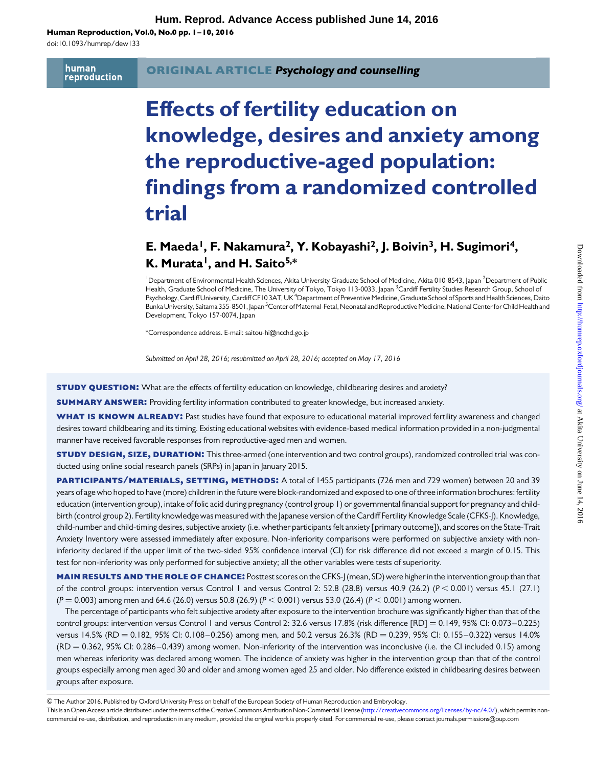Human Reproduction, Vol.0, No.0 pp. 1 –10, 2016

doi:10.1093/humrep/dew133

human reproduction ORIGINAL ARTICLE Psychology and counselling

# Effects of fertility education on knowledge, desires and anxiety among the reproductive-aged population: findings from a randomized controlled trial

# E. Maeda<sup>1</sup>, F. Nakamura<sup>2</sup>, Y. Kobayashi<sup>2</sup>, J. Boivin<sup>3</sup>, H. Sugimori<sup>4</sup>, K. Murata<sup>1</sup>, and H. Saito<sup>5,\*</sup>

<sup>1</sup> Department of Environmental Health Sciences, Akita University Graduate School of Medicine, Akita 010-8543, Japan <sup>2</sup> Department of Public Health, Graduate School of Medicine, The University of Tokyo, Tokyo 113-0033, Japan <sup>3</sup>Cardiff Fertility Studies Research Group, School of Psychology, Cardiff University, Cardiff CF10 3AT, UK <sup>4</sup>Department of Preventive Medicine, Graduate School of Sports and Health Sciences, Daito Bunka University, Saitama 355-8501, Japan <sup>5</sup>Center of Maternal-Fetal, Neonatal and Reproductive Medicine, National Center for Child Health and Development, Tokyo 157-0074, Japan

\*Correspondence address. E-mail: saitou-hi@ncchd.go.jp

Submitted on April 28, 2016; resubmitted on April 28, 2016; accepted on May 17, 2016

**STUDY QUESTION:** What are the effects of fertility education on knowledge, childbearing desires and anxiety?

**SUMMARY ANSWER:** Providing fertility information contributed to greater knowledge, but increased anxiety.

WHAT IS KNOWN ALREADY: Past studies have found that exposure to educational material improved fertility awareness and changed desires toward childbearing and its timing. Existing educational websites with evidence-based medical information provided in a non-judgmental manner have received favorable responses from reproductive-aged men and women.

**STUDY DESIGN, SIZE, DURATION:** This three-armed (one intervention and two control groups), randomized controlled trial was conducted using online social research panels (SRPs) in Japan in January 2015.

PARTICIPANTS/MATERIALS, SETTING, METHODS: A total of 1455 participants (726 men and 729 women) between 20 and 39 years of age who hoped to have (more) children in the future were block-randomized and exposed to one of three information brochures: fertility education (intervention group), intake of folic acid during pregnancy (control group 1) or governmental financial support for pregnancy and childbirth (control group 2). Fertility knowledge was measured with the Japanese version of the Cardiff Fertility Knowledge Scale (CFKS-J). Knowledge, child-number and child-timing desires, subjective anxiety (i.e. whether participants felt anxiety [primary outcome]), and scores on the State-Trait Anxiety Inventory were assessed immediately after exposure. Non-inferiority comparisons were performed on subjective anxiety with noninferiority declared if the upper limit of the two-sided 95% confidence interval (CI) for risk difference did not exceed a margin of 0.15. This test for non-inferiority was only performed for subjective anxiety; all the other variables were tests of superiority.

MAIN RESULTS AND THE ROLE OF CHANCE: Posttest scores on the CFKS-J (mean, SD) were higher in the intervention group than that of the control groups: intervention versus Control 1 and versus Control 2: 52.8 (28.8) versus 40.9 (26.2) ( $P < 0.001$ ) versus 45.1 (27.1)  $(P = 0.003)$  among men and 64.6 (26.0) versus 50.8 (26.9) (P < 0.001) versus 53.0 (26.4) (P < 0.001) among women.

The percentage of participants who felt subjective anxiety after exposure to the intervention brochure was significantly higher than that of the control groups: intervention versus Control 1 and versus Control 2: 32.6 versus 17.8% (risk difference  $[RD] = 0.149, 95\%$  CI: 0.073–0.225) versus 14.5% (RD = 0.182, 95% CI: 0.108-0.256) among men, and 50.2 versus 26.3% (RD = 0.239, 95% CI: 0.155-0.322) versus 14.0%  $(RD = 0.362, 95\%$  CI: 0.286-0.439) among women. Non-inferiority of the intervention was inconclusive (i.e. the CI included 0.15) among men whereas inferiority was declared among women. The incidence of anxiety was higher in the intervention group than that of the control groups especially among men aged 30 and older and among women aged 25 and older. No difference existed in childbearing desires between groups after exposure.

& The Author 2016. Published by Oxford University Press on behalf of the European Society of Human Reproduction and Embryology.

This is an Open Access article distributed under the terms of the Creative Commons Attribution Non-Commercial License ([http://creativecommons.org/licenses/by-nc/4.0/\)](http://creativecommons.org/licenses/by-nc/4.0/), which permits noncommercial re-use, distribution, and reproduction in any medium, provided the original work is properly cited. For commercial re-use, please contact journals.permissions@oup.com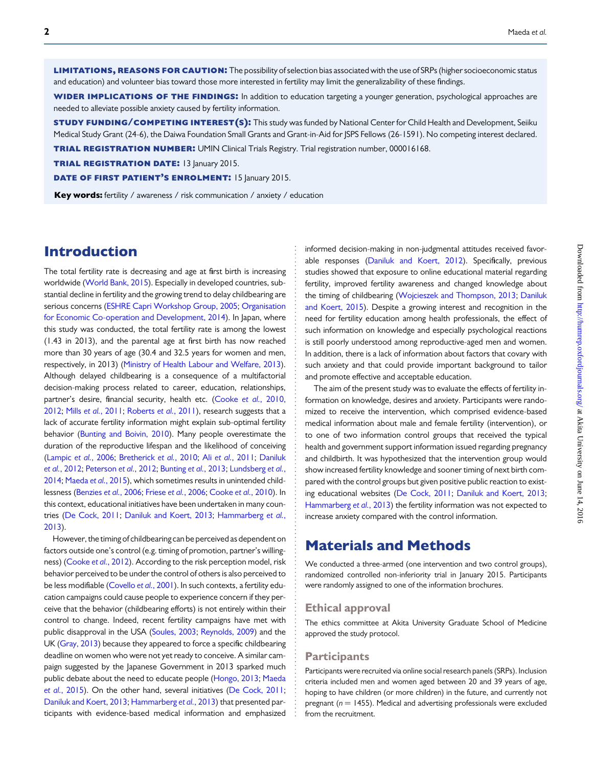LIMITATIONS, REASONS FOR CAUTION: The possibility of selection bias associated with the use of SRPs (higher socioeconomic status and education) and volunteer bias toward those more interested in fertility may limit the generalizability of these findings.

WIDER IMPLICATIONS OF THE FINDINGS: In addition to education targeting a younger generation, psychological approaches are needed to alleviate possible anxiety caused by fertility information.

**STUDY FUNDING/COMPETING INTEREST(S):** This study was funded by National Center for Child Health and Development, Seiiku Medical Study Grant (24-6), the Daiwa Foundation Small Grants and Grant-in-Aid for JSPS Fellows (26-1591). No competing interest declared.

TRIAL REGISTRATION NUMBER: UMIN Clinical Trials Registry. Trial registration number, 000016168.

**TRIAL REGISTRATION DATE: 13 January 2015.** 

DATE OF FIRST PATIENT'S ENROLMENT: 15 January 2015.

Key words: fertility / awareness / risk communication / anxiety / education

# Introduction

The total fertility rate is decreasing and age at first birth is increasing worldwide ([World Bank, 2015\)](#page-9-0). Especially in developed countries, substantial decline in fertility and the growing trend to delay childbearing are serious concerns [\(ESHRE Capri Workshop Group, 2005;](#page-8-0) [Organisation](#page-9-0) [for Economic Co-operation and Development, 2014](#page-9-0)). In Japan, where this study was conducted, the total fertility rate is among the lowest (1.43 in 2013), and the parental age at first birth has now reached more than 30 years of age (30.4 and 32.5 years for women and men, respectively, in 2013) [\(Ministry of Health Labour and Welfare, 2013\)](#page-9-0). Although delayed childbearing is a consequence of a multifactorial decision-making process related to career, education, relationships, partner's desire, financial security, health etc. (Cooke et al.[, 2010,](#page-8-0) [2012](#page-8-0); Mills et al.[, 2011](#page-9-0); [Roberts](#page-9-0) et al., 2011), research suggests that a lack of accurate fertility information might explain sub-optimal fertility behavior ([Bunting and Boivin, 2010](#page-8-0)). Many people overestimate the duration of the reproductive lifespan and the likelihood of conceiving [\(Lampic](#page-8-0) et al., 2006; [Bretherick](#page-8-0) et al., 2010; Ali et al.[, 2011](#page-8-0); [Daniluk](#page-8-0) et al.[, 2012](#page-8-0); [Peterson](#page-9-0) et al., 2012; [Bunting](#page-8-0) et al., 2013; [Lundsberg](#page-8-0) et al., [2014](#page-8-0); [Maeda](#page-8-0) et al., 2015), which sometimes results in unintended childlessness ([Benzies](#page-8-0) et al., 2006; Friese et al.[, 2006;](#page-8-0) [Cooke](#page-8-0) et al., 2010). In this context, educational initiatives have been undertaken in many countries ([De Cock, 2011](#page-8-0); [Daniluk and Koert, 2013](#page-8-0); [Hammarberg](#page-8-0) et al., [2013](#page-8-0)).

However, the timing of childbearing can be perceived as dependent on factors outside one's control (e.g. timing of promotion, partner's willingness) [\(Cooke](#page-8-0) et al., 2012). According to the risk perception model, risk behavior perceived to be under the control of others is also perceived to be less modifiable [\(Covello](#page-8-0) et al., 2001). In such contexts, a fertility education campaigns could cause people to experience concern if they perceive that the behavior (childbearing efforts) is not entirely within their control to change. Indeed, recent fertility campaigns have met with public disapproval in the USA ([Soules, 2003](#page-9-0); [Reynolds, 2009](#page-9-0)) and the UK ([Gray, 2013](#page-8-0)) because they appeared to force a specific childbearing deadline on women who were not yet ready to conceive. A similar campaign suggested by the Japanese Government in 2013 sparked much public debate about the need to educate people [\(Hongo, 2013;](#page-8-0) [Maeda](#page-8-0) et al.[, 2015](#page-8-0)). On the other hand, several initiatives [\(De Cock, 2011;](#page-8-0) [Daniluk and Koert, 2013](#page-8-0); [Hammarberg](#page-8-0) et al., 2013) that presented participants with evidence-based medical information and emphasized

informed decision-making in non-judgmental attitudes received favorable responses [\(Daniluk and Koert, 2012](#page-8-0)). Specifically, previous studies showed that exposure to online educational material regarding fertility, improved fertility awareness and changed knowledge about the timing of childbearing ([Wojcieszek and Thompson, 2013](#page-9-0); [Daniluk](#page-8-0) [and Koert, 2015\)](#page-8-0). Despite a growing interest and recognition in the need for fertility education among health professionals, the effect of such information on knowledge and especially psychological reactions is still poorly understood among reproductive-aged men and women. In addition, there is a lack of information about factors that covary with such anxiety and that could provide important background to tailor and promote effective and acceptable education.

The aim of the present study was to evaluate the effects of fertility information on knowledge, desires and anxiety. Participants were randomized to receive the intervention, which comprised evidence-based medical information about male and female fertility (intervention), or to one of two information control groups that received the typical health and government support information issued regarding pregnancy and childbirth. It was hypothesized that the intervention group would show increased fertility knowledge and sooner timing of next birth compared with the control groups but given positive public reaction to existing educational websites ([De Cock, 2011;](#page-8-0) [Daniluk and Koert, 2013;](#page-8-0) [Hammarberg](#page-8-0) et al., 2013) the fertility information was not expected to increase anxiety compared with the control information.

# Materials and Methods

We conducted a three-armed (one intervention and two control groups), randomized controlled non-inferiority trial in January 2015. Participants were randomly assigned to one of the information brochures.

#### Ethical approval

The ethics committee at Akita University Graduate School of Medicine approved the study protocol.

#### **Participants**

Participants were recruited via online social research panels (SRPs). Inclusion criteria included men and women aged between 20 and 39 years of age, hoping to have children (or more children) in the future, and currently not pregnant ( $n = 1455$ ). Medical and advertising professionals were excluded from the recruitment.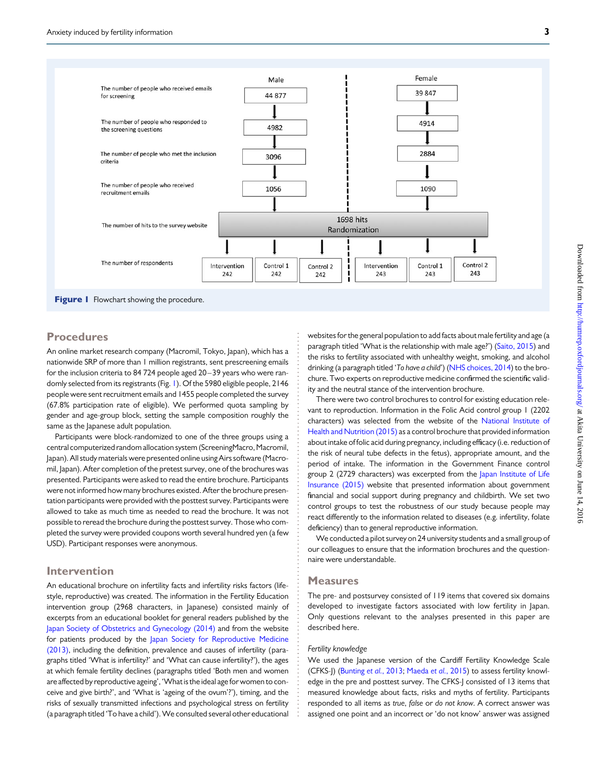

Figure I Flowchart showing the procedure.

#### Procedures

An online market research company (Macromil, Tokyo, Japan), which has a nationwide SRP of more than 1 million registrants, sent prescreening emails for the inclusion criteria to 84 724 people aged 20-39 years who were randomly selected from its registrants (Fig. 1). Of the 5980 eligible people, 2146 people were sent recruitment emails and 1455 people completed the survey (67.8% participation rate of eligible). We performed quota sampling by gender and age-group block, setting the sample composition roughly the same as the Japanese adult population.

Participants were block-randomized to one of the three groups using a central computerized random allocation system (ScreeningMacro, Macromil, Japan). All study materials were presented online using Airs software (Macromil, Japan). After completion of the pretest survey, one of the brochures was presented. Participants were asked to read the entire brochure. Participants were not informed how many brochures existed. After the brochure presentation participants were provided with the posttest survey. Participants were allowed to take as much time as needed to read the brochure. It was not possible to reread the brochure during the posttest survey. Those who completed the survey were provided coupons worth several hundred yen (a few USD). Participant responses were anonymous.

#### Intervention

An educational brochure on infertility facts and infertility risks factors (lifestyle, reproductive) was created. The information in the Fertility Education intervention group (2968 characters, in Japanese) consisted mainly of excerpts from an educational booklet for general readers published by the [Japan Society of Obstetrics and Gynecology \(2014\)](#page-8-0) and from the website for patients produced by the [Japan Society for Reproductive Medicine](#page-8-0) [\(2013\),](#page-8-0) including the definition, prevalence and causes of infertility (paragraphs titled 'What is infertility?' and 'What can cause infertility?'), the ages at which female fertility declines (paragraphs titled 'Both men and women are affected by reproductive ageing', 'What is the ideal age for women to conceive and give birth?', and 'What is 'ageing of the ovum'?'), timing, and the risks of sexually transmitted infections and psychological stress on fertility (a paragraph titled 'To have a child').We consulted several other educational

websites for the general population to add facts about male fertility and age (a paragraph titled 'What is the relationship with male age?') ([Saito, 2015](#page-9-0)) and the risks to fertility associated with unhealthy weight, smoking, and alcohol drinking (a paragraph titled 'To have a child') [\(NHS choices, 2014\)](#page-9-0) to the brochure. Two experts on reproductive medicine confirmed the scientific validity and the neutral stance of the intervention brochure.

There were two control brochures to control for existing education relevant to reproduction. Information in the Folic Acid control group 1 (2202 characters) was selected from the website of the [National Institute of](#page-9-0) [Health and Nutrition \(2015\)](#page-9-0) as a control brochure that provided information about intake of folic acid during pregnancy, including efficacy (i.e. reduction of the risk of neural tube defects in the fetus), appropriate amount, and the period of intake. The information in the Government Finance control group 2 (2729 characters) was excerpted from the [Japan Institute of Life](#page-8-0) [Insurance \(2015\)](#page-8-0) website that presented information about government financial and social support during pregnancy and childbirth. We set two control groups to test the robustness of our study because people may react differently to the information related to diseases (e.g. infertility, folate deficiency) than to general reproductive information.

We conducted a pilot survey on 24 university students and a small group of our colleagues to ensure that the information brochures and the questionnaire were understandable.

#### Measures

The pre- and postsurvey consisted of 119 items that covered six domains developed to investigate factors associated with low fertility in Japan. Only questions relevant to the analyses presented in this paper are described here.

#### Fertility knowledge

We used the Japanese version of the Cardiff Fertility Knowledge Scale (CFKS-J) [\(Bunting](#page-8-0) et al., 2013; [Maeda](#page-8-0) et al., 2015) to assess fertility knowledge in the pre and posttest survey. The CFKS-J consisted of 13 items that measured knowledge about facts, risks and myths of fertility. Participants responded to all items as true, false or do not know. A correct answer was assigned one point and an incorrect or 'do not know' answer was assigned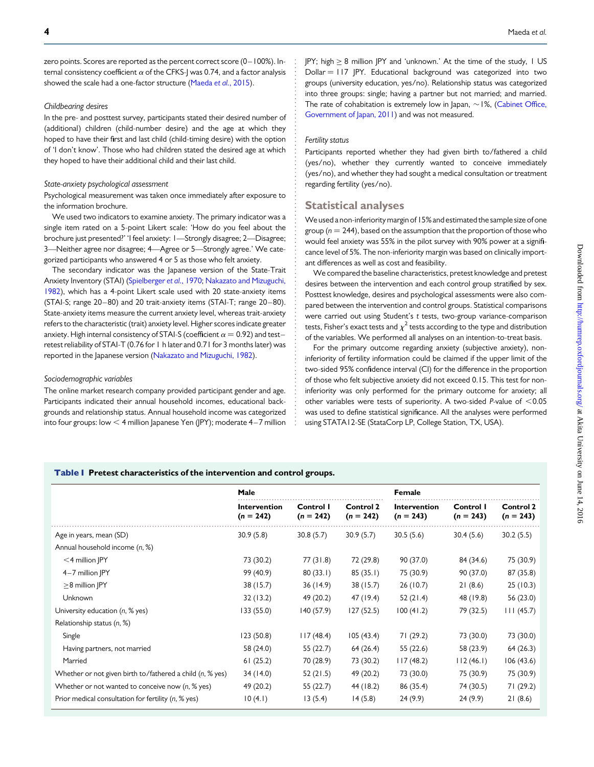Childbearing desires

#### Fertility status

Participants reported whether they had given birth to/fathered a child (yes/no), whether they currently wanted to conceive immediately (yes/no), and whether they had sought a medical consultation or treatment regarding fertility (yes/no).

#### Statistical analyses

We used a non-inferiority margin of 15% and estimated the sample size of one group ( $n = 244$ ), based on the assumption that the proportion of those who would feel anxiety was 55% in the pilot survey with 90% power at a significance level of 5%. The non-inferiority margin was based on clinically important differences as well as cost and feasibility.

We compared the baseline characteristics, pretest knowledge and pretest desires between the intervention and each control group stratified by sex. Posttest knowledge, desires and psychological assessments were also compared between the intervention and control groups. Statistical comparisons were carried out using Student's t tests, two-group variance-comparison tests, Fisher's exact tests and  $\chi^2$  tests according to the type and distribution of the variables. We performed all analyses on an intention-to-treat basis.

For the primary outcome regarding anxiety (subjective anxiety), noninferiority of fertility information could be claimed if the upper limit of the two-sided 95% confidence interval (CI) for the difference in the proportion of those who felt subjective anxiety did not exceed 0.15. This test for noninferiority was only performed for the primary outcome for anxiety; all other variables were tests of superiority. A two-sided P-value of  $< 0.05$ was used to define statistical significance. All the analyses were performed using STATA12-SE (StataCorp LP, College Station, TX, USA).

#### Table I Pretest characteristics of the intervention and control groups.

|                                                             | Male                               |                          |                          | Female                             |                          |                          |
|-------------------------------------------------------------|------------------------------------|--------------------------|--------------------------|------------------------------------|--------------------------|--------------------------|
|                                                             | <b>Intervention</b><br>$(n = 242)$ | Control I<br>$(n = 242)$ | Control 2<br>$(n = 242)$ | <b>Intervention</b><br>$(n = 243)$ | Control I<br>$(n = 243)$ | Control 2<br>$(n = 243)$ |
| Age in years, mean (SD)                                     | 30.9(5.8)                          | 30.8(5.7)                | 30.9(5.7)                | 30.5(5.6)                          | 30.4(5.6)                | 30.2(5.5)                |
| Annual household income (n, %)                              |                                    |                          |                          |                                    |                          |                          |
| $<$ 4 million $IPY$                                         | 73 (30.2)                          | 77(31.8)                 | 72 (29.8)                | 90 (37.0)                          | 84 (34.6)                | 75 (30.9)                |
| 4-7 million JPY                                             | 99 (40.9)                          | 80(33.1)                 | 85(35.1)                 | 75 (30.9)                          | 90 (37.0)                | 87 (35.8)                |
| $\geq$ 8 million JPY                                        | 38 (15.7)                          | 36(14.9)                 | 38 (15.7)                | 26(10.7)                           | 21(8.6)                  | 25(10.3)                 |
| Unknown                                                     | 32(13.2)                           | 49 (20.2)                | 47 (19.4)                | 52(21.4)                           | 48 (19.8)                | 56 (23.0)                |
| University education $(n, %$ yes)                           | 133 (55.0)                         | 140 (57.9)               | 127 (52.5)               | 100(41.2)                          | 79 (32.5)                | 111(45.7)                |
| Relationship status $(n, \%)$                               |                                    |                          |                          |                                    |                          |                          |
| Single                                                      | 123 (50.8)                         | 117(48.4)                | 105(43.4)                | 71(29.2)                           | 73 (30.0)                | 73 (30.0)                |
| Having partners, not married                                | 58 (24.0)                          | 55 (22.7)                | 64(26.4)                 | 55 (22.6)                          | 58 (23.9)                | 64(26.3)                 |
| Married                                                     | 61(25.2)                           | 70 (28.9)                | 73 (30.2)                | 117(48.2)                          | 112(46.1)                | 106(43.6)                |
| Whether or not given birth to/fathered a child $(n, %$ yes) | 34(14.0)                           | 52(21.5)                 | 49 (20.2)                | 73 (30.0)                          | 75 (30.9)                | 75 (30.9)                |
| Whether or not wanted to conceive now $(n, %$ yes)          | 49 (20.2)                          | 55 (22.7)                | 44 (18.2)                | 86 (35.4)                          | 74 (30.5)                | 71(29.2)                 |
| Prior medical consultation for fertility (n, % yes)         | 10(4.1)                            | 13(5.4)                  | 14(5.8)                  | 24(9.9)                            | 24(9.9)                  | 21(8.6)                  |

In the pre- and posttest survey, participants stated their desired number of (additional) children (child-number desire) and the age at which they hoped to have their first and last child (child-timing desire) with the option of 'I don't know'. Those who had children stated the desired age at which they hoped to have their additional child and their last child.

<span id="page-3-0"></span>zero points. Scores are reported as the percent correct score (0– 100%). Internal consistency coefficient  $\alpha$  of the CFKS-J was 0.74, and a factor analysis

showed the scale had a one-factor structure ([Maeda](#page-8-0) et al., 2015).

#### State-anxiety psychological assessment

Psychological measurement was taken once immediately after exposure to the information brochure.

We used two indicators to examine anxiety. The primary indicator was a single item rated on a 5-point Likert scale: 'How do you feel about the brochure just presented?' 'I feel anxiety: 1—Strongly disagree; 2—Disagree; 3—Neither agree nor disagree; 4—Agree or 5—Strongly agree.' We categorized participants who answered 4 or 5 as those who felt anxiety.

The secondary indicator was the Japanese version of the State-Trait Anxiety Inventory (STAI) ([Spielberger](#page-9-0) et al., 1970; [Nakazato and Mizuguchi,](#page-9-0) [1982](#page-9-0)), which has a 4-point Likert scale used with 20 state-anxiety items (STAI-S; range 20-80) and 20 trait-anxiety items (STAI-T; range 20-80). State-anxiety items measure the current anxiety level, whereas trait-anxiety refers to the characteristic (trait) anxiety level. Higher scores indicate greater anxiety. High internal consistency of STAI-S (coefficient  $\alpha = 0.92$ ) and test– retest reliability of STAI-T (0.76 for 1 h later and 0.71 for 3 months later) was reported in the Japanese version [\(Nakazato and Mizuguchi, 1982](#page-9-0)).

#### Sociodemographic variables

The online market research company provided participant gender and age. Participants indicated their annual household incomes, educational backgrounds and relationship status. Annual household income was categorized into four groups: low  $<$  4 million Japanese Yen (JPY); moderate 4-7 million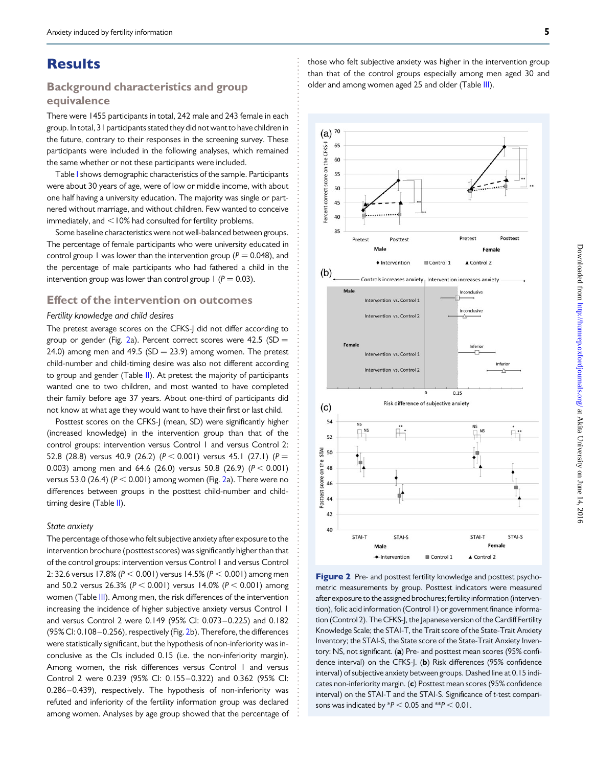# <span id="page-4-0"></span>**Results**

### Background characteristics and group equivalence

There were 1455 participants in total, 242 male and 243 female in each group. In total, 31 participants stated they did not want to have children in the future, contrary to their responses in the screening survey. These participants were included in the following analyses, which remained the same whether or not these participants were included.

Table [I](#page-3-0)shows demographic characteristics of the sample. Participants were about 30 years of age, were of low or middle income, with about one half having a university education. The majority was single or partnered without marriage, and without children. Few wanted to conceive immediately, and  $<$  10% had consulted for fertility problems.

Some baseline characteristics were not well-balanced between groups. The percentage of female participants who were university educated in control group 1 was lower than the intervention group ( $P = 0.048$ ), and the percentage of male participants who had fathered a child in the intervention group was lower than control group 1 ( $P = 0.03$ ).

#### Effect of the intervention on outcomes

#### Fertility knowledge and child desires

The pretest average scores on the CFKS-J did not differ according to group or gender (Fig. 2a). Percent correct scores were 42.5 (SD = 24.0) among men and 49.5 ( $SD = 23.9$ ) among women. The pretest child-number and child-timing desire was also not different according to group and gender (Table [II](#page-5-0)). At pretest the majority of participants wanted one to two children, and most wanted to have completed their family before age 37 years. About one-third of participants did not know at what age they would want to have their first or last child.

Posttest scores on the CFKS-J (mean, SD) were significantly higher (increased knowledge) in the intervention group than that of the control groups: intervention versus Control 1 and versus Control 2: 52.8 (28.8) versus 40.9 (26.2) ( $P < 0.001$ ) versus 45.1 (27.1) ( $P =$ 0.003) among men and 64.6 (26.0) versus 50.8 (26.9) ( $P < 0.001$ ) versus 53.0 (26.4) ( $P < 0.001$ ) among women (Fig. 2a). There were no differences between groups in the posttest child-number and child-timing desire (Table [II](#page-5-0)).

#### State anxiety

The percentage of those who felt subjective anxiety after exposure to the intervention brochure (posttest scores) was significantly higher than that of the control groups: intervention versus Control 1 and versus Control 2: 32.6 versus 17.8% ( $P < 0.001$ ) versus 14.5% ( $P < 0.001$ ) among men and 50.2 versus 26.3% ( $P < 0.001$ ) versus 14.0% ( $P < 0.001$ ) among women (Table [III](#page-6-0)). Among men, the risk differences of the intervention increasing the incidence of higher subjective anxiety versus Control 1 and versus Control 2 were 0.149 (95% CI: 0.073–0.225) and 0.182 (95% CI: 0.108–0.256), respectively (Fig. 2b). Therefore, the differences were statistically significant, but the hypothesis of non-inferiority was inconclusive as the CIs included 0.15 (i.e. the non-inferiority margin). Among women, the risk differences versus Control 1 and versus Control 2 were 0.239 (95% CI: 0.155–0.322) and 0.362 (95% CI: 0.286–0.439), respectively. The hypothesis of non-inferiority was refuted and inferiority of the fertility information group was declared among women. Analyses by age group showed that the percentage of

those who felt subjective anxiety was higher in the intervention group than that of the control groups especially among men aged 30 and older and among women aged 25 and older (Table [III\)](#page-6-0).



Figure 2 Pre- and posttest fertility knowledge and posttest psychometric measurements by group. Posttest indicators were measured after exposure to the assigned brochures; fertility information (intervention), folic acid information (Control 1) or government finance information (Control 2). The CFKS-J, the Japanese version of the Cardiff Fertility Knowledge Scale; the STAI-T, the Trait score of the State-Trait Anxiety Inventory; the STAI-S, the State score of the State-Trait Anxiety Inventory: NS, not significant. (a) Pre- and posttest mean scores (95% confidence interval) on the CFKS-J. (b) Risk differences (95% confidence interval) of subjective anxiety between groups. Dashed line at 0.15 indicates non-inferiority margin. (c) Posttest mean scores (95% confidence interval) on the STAI-T and the STAI-S. Significance of t-test comparisons was indicated by  $*P < 0.05$  and  $*P < 0.01$ .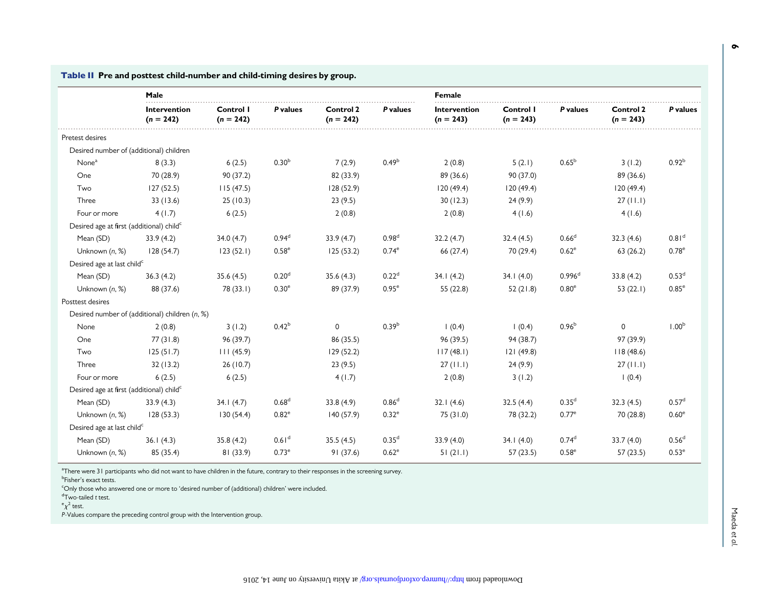|                                                      | Male                                           |                          |                   |                                 |                   | Female                      |                          |                     |                          |                   |
|------------------------------------------------------|------------------------------------------------|--------------------------|-------------------|---------------------------------|-------------------|-----------------------------|--------------------------|---------------------|--------------------------|-------------------|
|                                                      | Intervention<br>$(n = 242)$                    | Control I<br>$(n = 242)$ | P values          | <b>Control 2</b><br>$(n = 242)$ | P values          | Intervention<br>$(n = 243)$ | Control I<br>$(n = 243)$ | P values            | Control 2<br>$(n = 243)$ | P values          |
| Pretest desires                                      |                                                |                          |                   |                                 |                   |                             |                          |                     |                          |                   |
| Desired number of (additional) children              |                                                |                          |                   |                                 |                   |                             |                          |                     |                          |                   |
| None <sup>a</sup>                                    | 8(3.3)                                         | 6(2.5)                   | 0.30 <sup>b</sup> | 7(2.9)                          | 0.49 <sup>b</sup> | 2(0.8)                      | 5(2.1)                   | $0.65^{b}$          | 3(1.2)                   | $0.92^{b}$        |
| One                                                  | 70 (28.9)                                      | 90(37.2)                 |                   | 82 (33.9)                       |                   | 89 (36.6)                   | 90 (37.0)                |                     | 89 (36.6)                |                   |
| Two                                                  | 127(52.5)                                      | 115(47.5)                |                   | 128 (52.9)                      |                   | 120(49.4)                   | 120(49.4)                |                     | 120(49.4)                |                   |
| Three                                                | 33(13.6)                                       | 25(10.3)                 |                   | 23(9.5)                         |                   | 30(12.3)                    | 24(9.9)                  |                     | 27(11.1)                 |                   |
| Four or more                                         | 4(1.7)                                         | 6(2.5)                   |                   | 2(0.8)                          |                   | 2(0.8)                      | 4(1.6)                   |                     | 4(1.6)                   |                   |
| Desired age at first (additional) child <sup>c</sup> |                                                |                          |                   |                                 |                   |                             |                          |                     |                          |                   |
| Mean (SD)                                            | 33.9(4.2)                                      | 34.0(4.7)                | $0.94^d$          | 33.9(4.7)                       | 0.98 <sup>d</sup> | 32.2(4.7)                   | 32.4(4.5)                | 0.66 <sup>d</sup>   | 32.3(4.6)                | 0.81 <sup>d</sup> |
| Unknown (n, %)                                       | 128(54.7)                                      | 123(52.1)                | 0.58 <sup>e</sup> | 125(53.2)                       | 0.74 <sup>e</sup> | 66 (27.4)                   | 70 (29.4)                | 0.62 <sup>e</sup>   | 63(26.2)                 | 0.78 <sup>e</sup> |
| Desired age at last child <sup>c</sup>               |                                                |                          |                   |                                 |                   |                             |                          |                     |                          |                   |
| Mean (SD)                                            | 36.3(4.2)                                      | 35.6(4.5)                | 0.20 <sup>d</sup> | 35.6(4.3)                       | 0.22 <sup>d</sup> | 34.1(4.2)                   | 34.1(4.0)                | 0.996 <sup>d</sup>  | 33.8(4.2)                | 0.53 <sup>d</sup> |
| Unknown $(n, %)$                                     | 88 (37.6)                                      | 78 (33.1)                | 0.30 <sup>e</sup> | 89 (37.9)                       | 0.95 <sup>e</sup> | 55 (22.8)                   | 52(21.8)                 | 0.80 <sup>e</sup>   | 53(22.1)                 | 0.85 <sup>e</sup> |
| Posttest desires                                     |                                                |                          |                   |                                 |                   |                             |                          |                     |                          |                   |
|                                                      | Desired number of (additional) children (n, %) |                          |                   |                                 |                   |                             |                          |                     |                          |                   |
| None                                                 | 2(0.8)                                         | 3(1.2)                   | $0.42^{b}$        | $\mathbf 0$                     | 0.39 <sup>b</sup> | 1(0.4)                      | (0.4)                    | 0.96 <sup>b</sup>   | $\mathbf{0}$             | 1.00 <sup>b</sup> |
| One                                                  | 77(31.8)                                       | 96 (39.7)                |                   | 86 (35.5)                       |                   | 96 (39.5)                   | 94 (38.7)                |                     | 97 (39.9)                |                   |
| Two                                                  | 125(51.7)                                      | 111(45.9)                |                   | 129(52.2)                       |                   | 117(48.1)                   | 121(49.8)                |                     | 118(48.6)                |                   |
| Three                                                | 32(13.2)                                       | 26(10.7)                 |                   | 23(9.5)                         |                   | 27(11.1)                    | 24(9.9)                  |                     | 27(11.1)                 |                   |
| Four or more                                         | 6(2.5)                                         | 6(2.5)                   |                   | 4(1.7)                          |                   | 2(0.8)                      | 3(1.2)                   |                     | (0.4)                    |                   |
| Desired age at first (additional) child <sup>c</sup> |                                                |                          |                   |                                 |                   |                             |                          |                     |                          |                   |
| Mean (SD)                                            | 33.9(4.3)                                      | 34.1(4.7)                | 0.68 <sup>d</sup> | 33.8(4.9)                       | 0.86 <sup>d</sup> | 32.1(4.6)                   | 32.5(4.4)                | 0.35 <sup>d</sup>   | 32.3(4.5)                | 0.57 <sup>d</sup> |
| Unknown $(n, %)$                                     | 128(53.3)                                      | 130(54.4)                | 0.82 <sup>e</sup> | 140(57.9)                       | $0.32^e$          | 75(31.0)                    | 78 (32.2)                | $0.77^{\mathrm{e}}$ | 70 (28.8)                | 0.60 <sup>e</sup> |
| Desired age at last child <sup>c</sup>               |                                                |                          |                   |                                 |                   |                             |                          |                     |                          |                   |
| Mean (SD)                                            | 36.1(4.3)                                      | 35.8(4.2)                | 0.61 <sup>d</sup> | 35.5(4.5)                       | 0.35 <sup>d</sup> | 33.9(4.0)                   | 34.1(4.0)                | 0.74 <sup>d</sup>   | 33.7(4.0)                | 0.56 <sup>d</sup> |
| Unknown $(n, \%)$                                    | 85 (35.4)                                      | 81 (33.9)                | 0.73 <sup>e</sup> | 91(37.6)                        | 0.62 <sup>e</sup> | 51(21.1)                    | 57(23.5)                 | 0.58 <sup>e</sup>   | 57(23.5)                 | 0.53 <sup>e</sup> |

<span id="page-5-0"></span>Table II Pre and posttest child-number and child-timing desires by group.

<sup>a</sup>There were 31 participants who did not want to have children in the future, contrary to their responses in the screening survey.

cOnly those who answered one or more to 'desired number of (additional) children' were included.

 $^{\rm d}$ Two-tailed t test.

 $\mathrm{e}_{\chi^2}$  test.

P-Values compare the preceding control group with the Intervention group.

<sup>&</sup>lt;sup>b</sup>Fisher's exact tests.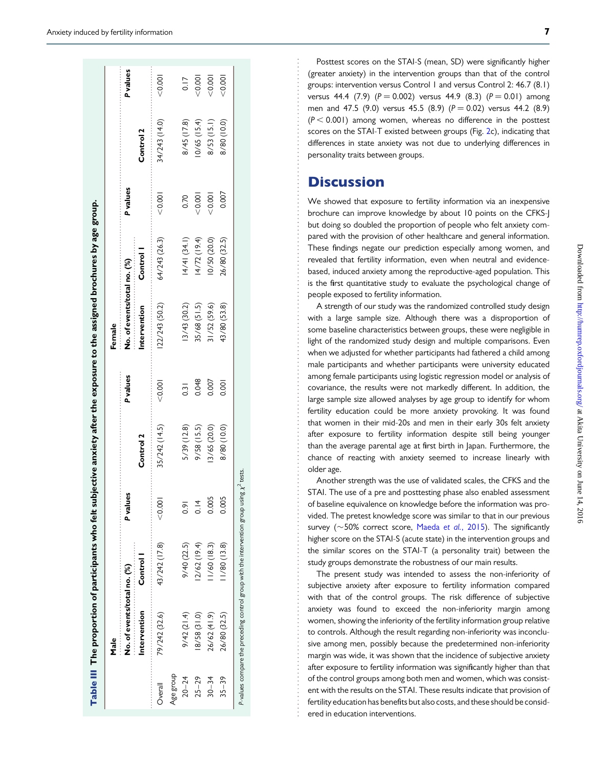<span id="page-6-0"></span>

|           | Male                        |               |                 |              |                 | Female                      |               |                 |               |                 |
|-----------|-----------------------------|---------------|-----------------|--------------|-----------------|-----------------------------|---------------|-----------------|---------------|-----------------|
|           | No. of events/total no. (%) |               | <b>P</b> values |              | <b>P</b> values | No. of events/total no. (%) |               | <b>P</b> values |               | <b>P</b> values |
|           | Intervention                | Control       |                 | Control 2    |                 | Intervention                | Control I     |                 | Control 2     |                 |
| Overall   | 79/242 (32.6)               | 43/242 (17.8) | < 0.001         | 35/242(14.5) | < 0.001         | 122/243 (50.2)              | 64/243 (26.3) | < 0.001         | 34/243 (14.0) | < 0.001         |
| Age group |                             |               |                 |              |                 |                             |               |                 |               |                 |
| $20 - 24$ | 9/42(21.4)                  | 9/40(22.5)    | $\overline{6}0$ | 5/39 (12.8)  | $\frac{31}{2}$  | 13/43 (30.2)                | 14/41(34.1)   | 0.70            | $8/45$ (17.8) | 0.17            |
| $25 - 29$ | 18/58(31.0)                 | 12/62(19.4)   | $\frac{4}{10}$  | 9/58(15.5)   | 0.048           | 35/68 (51.5)                | 4/72 (19.4)   | < 0.001         | $0/65$ (15.4) | 0.001           |
| $30 - 34$ | 26/62 (41.9)                | 11/60(18.3)   | 0.005           | 13/65 (20.0) | 0.007           | 31/52 (59.6)                | 0/50(20.0)    | < 0.001         | 8/53(15.1)    | < 0.001         |
| $35 - 39$ | 26/80 (32.5)                | 11/80(13.8)   | 0.005           | 8/80 (10.0)  | 0.001           | 43/80 (53.8)                | 26/80 (32.5)  | 0.007           | 8/80 (10.0)   | < 0.001         |

Posttest scores on the STAI-S (mean, SD) were significantly higher (greater anxiety) in the intervention groups than that of the control groups: intervention versus Control 1 and versus Control 2: 46.7 (8.1) versus 44.4 (7.9)  $(P = 0.002)$  versus 44.9 (8.3)  $(P = 0.01)$  among men and 47.5 (9.0) versus 45.5 (8.9)  $(P = 0.02)$  versus 44.2 (8.9)  $(P < 0.001)$  among women, whereas no difference in the posttest scores on the STAI-T existed between groups (Fig. [2](#page-4-0)c), indicating that differences in state anxiety was not due to underlying differences in personality traits between groups.

## **Discussion**

We showed that exposure to fertility information via an inexpensive brochure can improve knowledge by about 10 points on the CFKS-J but doing so doubled the proportion of people who felt anxiety compared with the provision of other healthcare and general information. These findings negate our prediction especially among women, and revealed that fertility information, even when neutral and evidencebased, induced anxiety among the reproductive-aged population. This is the first quantitative study to evaluate the psychological change of people exposed to fertility information.

A strength of our study was the randomized controlled study design with a large sample size. Although there was a disproportion of some baseline characteristics between groups, these were negligible in light of the randomized study design and multiple comparisons. Even when we adjusted for whether participants had fathered a child among male participants and whether participants were university educated among female participants using logistic regression model or analysis of covariance, the results were not markedly different. In addition, the large sample size allowed analyses by age group to identify for whom fertility education could be more anxiety provoking. It was found that women in their mid-20s and men in their early 30s felt anxiety after exposure to fertility information despite still being younger than the average parental age at first birth in Japan. Furthermore, the chance of reacting with anxiety seemed to increase linearly with older age.

Another strength was the use of validated scales, the CFKS and the STAI. The use of a pre and posttesting phase also enabled assessment of baseline equivalence on knowledge before the information was provided. The pretest knowledge score was similar to that in our previous survey ( $\sim$ 50% correct score, Maeda et al.[, 2015](#page-8-0)). The significantly higher score on the STAI-S (acute state) in the intervention groups and the similar scores on the STAI-T (a personality trait) between the study groups demonstrate the robustness of our main results.

The present study was intended to assess the non-inferiority of subjective anxiety after exposure to fertility information compared with that of the control groups. The risk difference of subjective anxiety was found to exceed the non-inferiority margin among women, showing the inferiority of the fertility information group relative to controls. Although the result regarding non-inferiority was inconclusive among men, possibly because the predetermined non-inferiority margin was wide, it was shown that the incidence of subjective anxiety after exposure to fertility information was significantly higher than that of the control groups among both men and women, which was consistent with the results on the STAI. These results indicate that provision of fertility education has benefits but also costs, and these should be considered in education interventions.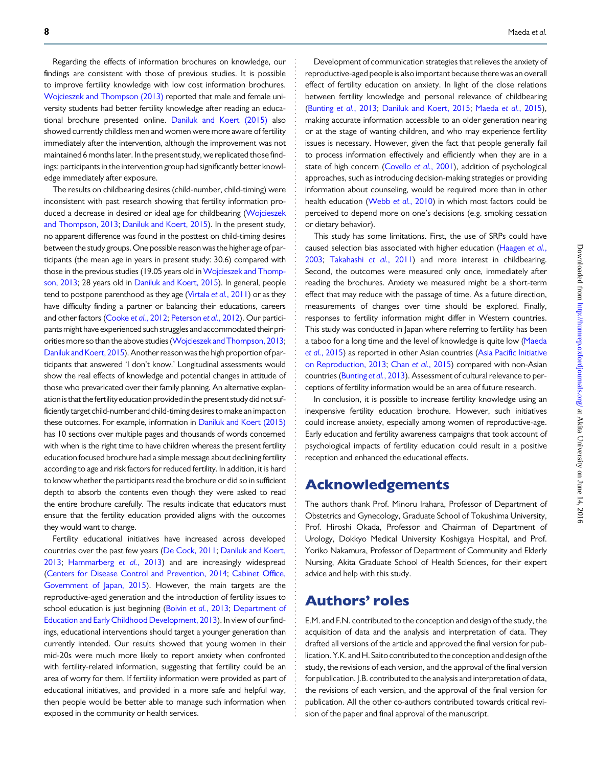Regarding the effects of information brochures on knowledge, our findings are consistent with those of previous studies. It is possible to improve fertility knowledge with low cost information brochures. [Wojcieszek and Thompson \(2013\)](#page-9-0) reported that male and female university students had better fertility knowledge after reading an educational brochure presented online. [Daniluk and Koert \(2015\)](#page-8-0) also showed currently childless men and women were more aware of fertility immediately after the intervention, although the improvement was not maintained 6 months later. In the present study, we replicated those findings: participants in the intervention group had significantly better knowledge immediately after exposure.

The results on childbearing desires (child-number, child-timing) were inconsistent with past research showing that fertility information produced a decrease in desired or ideal age for childbearing ([Wojcieszek](#page-9-0) [and Thompson, 2013;](#page-9-0) [Daniluk and Koert, 2015](#page-8-0)). In the present study, no apparent difference was found in the posttest on child-timing desires between the study groups. One possible reason was the higher age of participants (the mean age in years in present study: 30.6) compared with those in the previous studies (19.05 years old in [Wojcieszek and Thomp](#page-9-0)[son, 2013;](#page-9-0) 28 years old in [Daniluk and Koert, 2015\)](#page-8-0). In general, people tend to postpone parenthood as they age (Virtala et al.[, 2011\)](#page-9-0) or as they have difficulty finding a partner or balancing their educations, careers and other factors [\(Cooke](#page-8-0) et al., 2012; [Peterson](#page-9-0) et al., 2012). Our participants might have experienced such struggles and accommodated their priorities more so than the above studies ([Wojcieszek and Thompson, 2013;](#page-9-0) [Daniluk and Koert, 2015](#page-8-0)). Another reason was the high proportion of participants that answered 'I don't know.' Longitudinal assessments would show the real effects of knowledge and potential changes in attitude of those who prevaricated over their family planning. An alternative explanation is that the fertility education provided in the present study did not sufficiently target child-number and child-timing desires to make an impact on these outcomes. For example, information in [Daniluk and Koert \(2015\)](#page-8-0) has 10 sections over multiple pages and thousands of words concerned with when is the right time to have children whereas the present fertility education focused brochure had a simple message about declining fertility according to age and risk factors for reduced fertility. In addition, it is hard to know whether the participants read the brochure or did so in sufficient depth to absorb the contents even though they were asked to read the entire brochure carefully. The results indicate that educators must ensure that the fertility education provided aligns with the outcomes they would want to change.

Fertility educational initiatives have increased across developed countries over the past few years [\(De Cock, 2011](#page-8-0); [Daniluk and Koert,](#page-8-0) [2013](#page-8-0); [Hammarberg](#page-8-0) et al., 2013) and are increasingly widespread [\(Centers for Disease Control and Prevention, 2014;](#page-8-0) [Cabinet Office,](#page-8-0) [Government of Japan, 2015\)](#page-8-0). However, the main targets are the reproductive-aged generation and the introduction of fertility issues to school education is just beginning (Boivin et al.[, 2013;](#page-8-0) [Department of](#page-8-0) [Education and Early Childhood Development, 2013](#page-8-0)). In view of our findings, educational interventions should target a younger generation than currently intended. Our results showed that young women in their mid-20s were much more likely to report anxiety when confronted with fertility-related information, suggesting that fertility could be an area of worry for them. If fertility information were provided as part of educational initiatives, and provided in a more safe and helpful way, then people would be better able to manage such information when exposed in the community or health services.

Development of communication strategies that relieves the anxiety of reproductive-aged people is also important because there was an overall effect of fertility education on anxiety. In light of the close relations between fertility knowledge and personal relevance of childbearing ([Bunting](#page-8-0) et al., 2013; [Daniluk and Koert, 2015;](#page-8-0) [Maeda](#page-8-0) et al., 2015), making accurate information accessible to an older generation nearing or at the stage of wanting children, and who may experience fertility issues is necessary. However, given the fact that people generally fail to process information effectively and efficiently when they are in a state of high concern ([Covello](#page-8-0) et al., 2001), addition of psychological approaches, such as introducing decision-making strategies or providing information about counseling, would be required more than in other health education (Webb et al.[, 2010](#page-9-0)) in which most factors could be perceived to depend more on one's decisions (e.g. smoking cessation or dietary behavior).

This study has some limitations. First, the use of SRPs could have caused selection bias associated with higher education [\(Haagen](#page-8-0) et al., [2003;](#page-8-0) [Takahashi](#page-9-0) et al., 2011) and more interest in childbearing. Second, the outcomes were measured only once, immediately after reading the brochures. Anxiety we measured might be a short-term effect that may reduce with the passage of time. As a future direction, measurements of changes over time should be explored. Finally, responses to fertility information might differ in Western countries. This study was conducted in Japan where referring to fertility has been a taboo for a long time and the level of knowledge is quite low [\(Maeda](#page-8-0) et al.[, 2015\)](#page-8-0) as reported in other Asian countries [\(Asia Pacific Initiative](#page-8-0) [on Reproduction, 2013](#page-8-0); Chan et al.[, 2015](#page-8-0)) compared with non-Asian countries [\(Bunting](#page-8-0) et al., 2013). Assessment of cultural relevance to perceptions of fertility information would be an area of future research.

In conclusion, it is possible to increase fertility knowledge using an inexpensive fertility education brochure. However, such initiatives could increase anxiety, especially among women of reproductive-age. Early education and fertility awareness campaigns that took account of psychological impacts of fertility education could result in a positive reception and enhanced the educational effects.

### Acknowledgements

The authors thank Prof. Minoru Irahara, Professor of Department of Obstetrics and Gynecology, Graduate School of Tokushima University, Prof. Hiroshi Okada, Professor and Chairman of Department of Urology, Dokkyo Medical University Koshigaya Hospital, and Prof. Yoriko Nakamura, Professor of Department of Community and Elderly Nursing, Akita Graduate School of Health Sciences, for their expert advice and help with this study.

# Authors' roles

E.M. and F.N. contributed to the conception and design of the study, the acquisition of data and the analysis and interpretation of data. They drafted all versions of the article and approved the final version for publication. Y.K. and H. Saito contributed to the conception and design of the study, the revisions of each version, and the approval of the final version for publication. J.B. contributed to the analysis and interpretation of data, the revisions of each version, and the approval of the final version for publication. All the other co-authors contributed towards critical revision of the paper and final approval of the manuscript.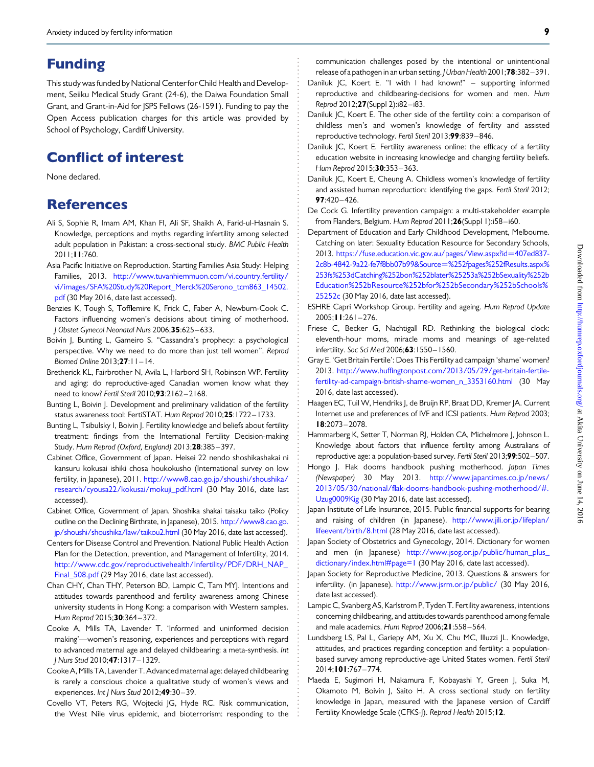# <span id="page-8-0"></span>Funding

This study was funded by National Center for Child Health and Development, Seiiku Medical Study Grant (24-6), the Daiwa Foundation Small Grant, and Grant-in-Aid for JSPS Fellows (26-1591). Funding to pay the Open Access publication charges for this article was provided by School of Psychology, Cardiff University.

# Conflict of interest

None declared.

# References

- Ali S, Sophie R, Imam AM, Khan FI, Ali SF, Shaikh A, Farid-ul-Hasnain S. Knowledge, perceptions and myths regarding infertility among selected adult population in Pakistan: a cross-sectional study. BMC Public Health 2011;11:760.
- Asia Pacific Initiative on Reproduction. Starting Families Asia Study: Helping Families, 2013. [http://www.tuvanhiemmuon.com/vi.country.fertility/](http://www.tuvanhiemmuon.com/vi.country.fertility/vi/images/SFA%20Study%20Report_Merck%20Serono_tcm863_14502.pdf) [vi/images/SFA%20Study%20Report\\_Merck%20Serono\\_tcm863\\_14502.](http://www.tuvanhiemmuon.com/vi.country.fertility/vi/images/SFA%20Study%20Report_Merck%20Serono_tcm863_14502.pdf) [pdf](http://www.tuvanhiemmuon.com/vi.country.fertility/vi/images/SFA%20Study%20Report_Merck%20Serono_tcm863_14502.pdf) (30 May 2016, date last accessed).
- Benzies K, Tough S, Tofflemire K, Frick C, Faber A, Newburn-Cook C. Factors influencing women's decisions about timing of motherhood. J Obstet Gynecol Neonatal Nurs 2006;35:625 – 633.
- Boivin J, Bunting L, Gameiro S. "Cassandra's prophecy: a psychological perspective. Why we need to do more than just tell women". Reprod Biomed Online 2013;27:11 – 14.
- Bretherick KL, Fairbrother N, Avila L, Harbord SH, Robinson WP. Fertility and aging: do reproductive-aged Canadian women know what they need to know? Fertil Steril 2010;93:2162-2168.
- Bunting L, Boivin J. Development and preliminary validation of the fertility status awareness tool: FertiSTAT. Hum Reprod 2010;25:1722 – 1733.
- Bunting L, Tsibulsky I, Boivin J. Fertility knowledge and beliefs about fertility treatment: findings from the International Fertility Decision-making Study. Hum Reprod (Oxford, England) 2013;28:385– 397.
- Cabinet Office, Government of Japan. Heisei 22 nendo shoshikashakai ni kansuru kokusai ishiki chosa houkokusho (International survey on low fertility, in Japanese), 2011. [http://www8.cao.go.jp/shoushi/shoushika/](http://www8.cao.go.jp/shoushi/shoushika/research/cyousa22/kokusai/mokuji_pdf.html) [research/cyousa22/kokusai/mokuji\\_pdf.html](http://www8.cao.go.jp/shoushi/shoushika/research/cyousa22/kokusai/mokuji_pdf.html) (30 May 2016, date last accessed).
- Cabinet Office, Government of Japan. Shoshika shakai taisaku taiko (Policy outline on the Declining Birthrate, in Japanese), 2015. [http://www8.cao.go.](http://www8.cao.go.jp/shoushi/shoushika/law/taikou2.html) [jp/shoushi/shoushika/law/taikou2.html](http://www8.cao.go.jp/shoushi/shoushika/law/taikou2.html) (30 May 2016, date last accessed).
- Centers for Disease Control and Prevention. National Public Health Action Plan for the Detection, prevention, and Management of Infertility, 2014. [http://www.cdc.gov/reproductivehealth/Infertility/PDF/DRH\\_NAP\\_](http://www.cdc.gov/reproductivehealth/Infertility/PDF/DRH_NAP_Final_508.pdf) [Final\\_508.pdf](http://www.cdc.gov/reproductivehealth/Infertility/PDF/DRH_NAP_Final_508.pdf) (29 May 2016, date last accessed).
- Chan CHY, Chan THY, Peterson BD, Lampic C, Tam MYJ. Intentions and attitudes towards parenthood and fertility awareness among Chinese university students in Hong Kong: a comparison with Western samples. Hum Reprod 2015;30:364-372.
- Cooke A, Mills TA, Lavender T. 'Informed and uninformed decision making'—women's reasoning, experiences and perceptions with regard to advanced maternal age and delayed childbearing: a meta-synthesis. Int J Nurs Stud 2010;47:1317 – 1329.
- Cooke A, Mills TA, Lavender T. Advanced maternal age: delayed childbearing is rarely a conscious choice a qualitative study of women's views and experiences. Int J Nurs Stud 2012;49:30-39.
- Covello VT, Peters RG, Wojtecki JG, Hyde RC. Risk communication, the West Nile virus epidemic, and bioterrorism: responding to the

communication challenges posed by the intentional or unintentional release of a pathogen in an urban setting. J Urban Health 2001;78:382-391.

- Daniluk JC, Koert E. "I with I had known!" supporting informed reproductive and childbearing-decisions for women and men. Hum Reprod 2012;27(Suppl 2):i82 – i83.
- Daniluk JC, Koert E. The other side of the fertility coin: a comparison of childless men's and women's knowledge of fertility and assisted reproductive technology. Fertil Steril 2013;99:839 – 846.
- Daniluk JC, Koert E. Fertility awareness online: the efficacy of a fertility education website in increasing knowledge and changing fertility beliefs. Hum Reprod 2015;30:353 – 363.
- Daniluk JC, Koert E, Cheung A. Childless women's knowledge of fertility and assisted human reproduction: identifying the gaps. Fertil Steril 2012; 97:420– 426.
- De Cock G. Infertility prevention campaign: a multi-stakeholder example from Flanders, Belgium. Hum Reprod 2011;26(Suppl 1):i58-i60.
- Department of Education and Early Childhood Development, Melbourne. Catching on later: Sexuality Education Resource for Secondary Schools, 2013. [https://fuse.education.vic.gov.au/pages/View.aspx?id](https://fuse.education.vic.gov.au/pages/View.aspx?id=407ed837-2c8b-4842-9a22-fe7f8bb07b99&Source=%252fpages%252fResults.aspx%253fs%253dCatching%252bon%252blater%25253a%252bSexuality%252bEducation%252bResource%252bfor%252bSecondary%252bSchools%25252c)=407ed837-[2c8b-4842-9a22-fe7f8bb07b99&Source](https://fuse.education.vic.gov.au/pages/View.aspx?id=407ed837-2c8b-4842-9a22-fe7f8bb07b99&Source=%252fpages%252fResults.aspx%253fs%253dCatching%252bon%252blater%25253a%252bSexuality%252bEducation%252bResource%252bfor%252bSecondary%252bSchools%25252c)=%252fpages%252fResults.aspx% [253fs%253dCatching%252bon%252blater%25253a%252bSexuality%252b](https://fuse.education.vic.gov.au/pages/View.aspx?id=407ed837-2c8b-4842-9a22-fe7f8bb07b99&Source=%252fpages%252fResults.aspx%253fs%253dCatching%252bon%252blater%25253a%252bSexuality%252bEducation%252bResource%252bfor%252bSecondary%252bSchools%25252c) [Education%252bResource%252bfor%252bSecondary%252bSchools%](https://fuse.education.vic.gov.au/pages/View.aspx?id=407ed837-2c8b-4842-9a22-fe7f8bb07b99&Source=%252fpages%252fResults.aspx%253fs%253dCatching%252bon%252blater%25253a%252bSexuality%252bEducation%252bResource%252bfor%252bSecondary%252bSchools%25252c) [25252c](https://fuse.education.vic.gov.au/pages/View.aspx?id=407ed837-2c8b-4842-9a22-fe7f8bb07b99&Source=%252fpages%252fResults.aspx%253fs%253dCatching%252bon%252blater%25253a%252bSexuality%252bEducation%252bResource%252bfor%252bSecondary%252bSchools%25252c) (30 May 2016, date last accessed).
- ESHRE Capri Workshop Group. Fertility and ageing. Hum Reprod Update 2005;11:261 – 276.
- Friese C, Becker G, Nachtigall RD. Rethinking the biological clock: eleventh-hour moms, miracle moms and meanings of age-related infertility. Soc Sci Med 2006;63:1550-1560.
- Gray E. 'Get Britain Fertile': Does This Fertility ad campaign 'shame' women? 2013. [http://www.huffingtonpost.com/2013/05/29/get-britain-fertile](http://www.huffingtonpost.com/2013/05/29/get-britain-fertile-fertility-ad-campaign-british-shame-women_n_3353160.html)[fertility-ad-campaign-british-shame-women\\_n\\_3353160.html](http://www.huffingtonpost.com/2013/05/29/get-britain-fertile-fertility-ad-campaign-british-shame-women_n_3353160.html) (30 May 2016, date last accessed).
- Haagen EC, Tuil W, Hendriks J, de Bruijn RP, Braat DD, Kremer JA. Current Internet use and preferences of IVF and ICSI patients. Hum Reprod 2003; 18:2073– 2078.
- Hammarberg K, Setter T, Norman RJ, Holden CA, Michelmore J, Johnson L. Knowledge about factors that influence fertility among Australians of reproductive age: a population-based survey. Fertil Steril 2013;99:502–507.
- Hongo J. Flak dooms handbook pushing motherhood. Japan Times (Newspaper) 30 May 2013. [http://www.japantimes.co.jp/news/](http://www.japantimes.co.jp/news/2013/05/30/national/flak-dooms-handbook-pushing-motherhood/#.Uzug0009Kig) [2013/05/30/national/flak-dooms-handbook-pushing-motherhood/#.](http://www.japantimes.co.jp/news/2013/05/30/national/flak-dooms-handbook-pushing-motherhood/#.Uzug0009Kig) [Uzug0009Kig](http://www.japantimes.co.jp/news/2013/05/30/national/flak-dooms-handbook-pushing-motherhood/#.Uzug0009Kig) (30 May 2016, date last accessed).
- Japan Institute of Life Insurance, 2015. Public financial supports for bearing and raising of children (in Japanese). [http://www.jili.or.jp/lifeplan/](http://www.jili.or.jp/lifeplan/lifeevent/birth/8.html) [lifeevent/birth/8.html](http://www.jili.or.jp/lifeplan/lifeevent/birth/8.html) (28 May 2016, date last accessed).
- Japan Society of Obstetrics and Gynecology, 2014. Dictionary for women and men (in Japanese) [http://www.jsog.or.jp/public/human\\_plus\\_](http://www.jsog.or.jp/public/human_plus_dictionary/index.html#page=1) [dictionary/index.html#page=1](http://www.jsog.or.jp/public/human_plus_dictionary/index.html#page=1) (30 May 2016, date last accessed).
- Japan Society for Reproductive Medicine, 2013. Questions & answers for infertility. (in Japanese). <http://www.jsrm.or.jp/public/> (30 May 2016, date last accessed).
- Lampic C, Svanberg AS, Karlstrom P, Tyden T. Fertility awareness, intentions concerning childbearing, and attitudes towards parenthood among female and male academics. Hum Reprod 2006;21:558-564.
- Lundsberg LS, Pal L, Gariepy AM, Xu X, Chu MC, Illuzzi JL. Knowledge, attitudes, and practices regarding conception and fertility: a populationbased survey among reproductive-age United States women. Fertil Steril 2014;101:767 – 774.
- Maeda E, Sugimori H, Nakamura F, Kobayashi Y, Green J, Suka M, Okamoto M, Boivin J, Saito H. A cross sectional study on fertility knowledge in Japan, measured with the Japanese version of Cardiff Fertility Knowledge Scale (CFKS-J). Reprod Health 2015;12.